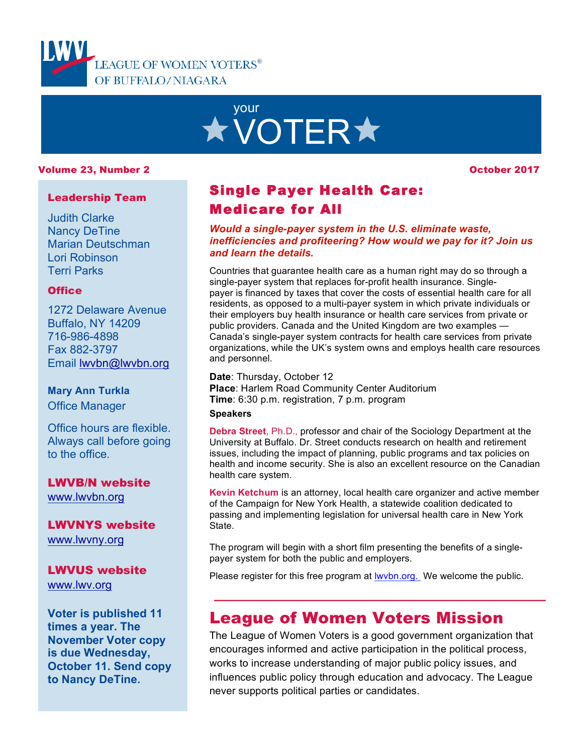

# your **\* VOTER\***

#### Volume 23, Number 2

October 2017

#### Leadership Team

Judith Clarke Nancy DeTine Marian Deutschman Lori Robinson Terri Parks

#### **Office**

1272 Delaware Avenue Buffalo, NY 14209 716-986-4898 Fax 882-3797 Email lwvbn@lwvbn.org

# **Mary Ann Turkla**

Office Manager

Office hours are flexible. Always call before going to the office.

LWVB/N website www.lwvbn.org

LWVNYS website www.lwvny.org

#### LWVUS website www.lwv.org

**Voter is published 11 times a year. The November Voter copy is due Wednesday, October 11. Send copy to Nancy DeTine.**

# Single Payer Health Care: Medicare for All

*Would a single-payer system in the U.S. eliminate waste, inefficiencies and profiteering? How would we pay for it? Join us and learn the details.*

Countries that guarantee health care as a human right may do so through a single-payer system that replaces for-profit health insurance. Singlepayer is financed by taxes that cover the costs of essential health care for all residents, as opposed to a multi-payer system in which private individuals or their employers buy health insurance or health care services from private or public providers. Canada and the United Kingdom are two examples — Canada's single-payer system contracts for health care services from private organizations, while the UK's system owns and employs health care resources and personnel.

**Date**: Thursday, October 12 **Place**: Harlem Road Community Center Auditorium **Time**: 6:30 p.m. registration, 7 p.m. program

#### **Speakers**

**Debra Street**, Ph.D., professor and chair of the Sociology Department at the University at Buffalo. Dr. Street conducts research on health and retirement issues, including the impact of planning, public programs and tax policies on health and income security. She is also an excellent resource on the Canadian health care system.

**Kevin Ketchum** is an attorney, local health care organizer and active member of the Campaign for New York Health, a statewide coalition dedicated to passing and implementing legislation for universal health care in New York State.

The program will begin with a short film presenting the benefits of a singlepayer system for both the public and employers.

Please register for this free program at **lwybn.org**. We welcome the public.

# League of Women Voters Mission

The League of Women Voters is a good government organization that encourages informed and active participation in the political process, works to increase understanding of major public policy issues, and influences public policy through education and advocacy. The League never supports political parties or candidates.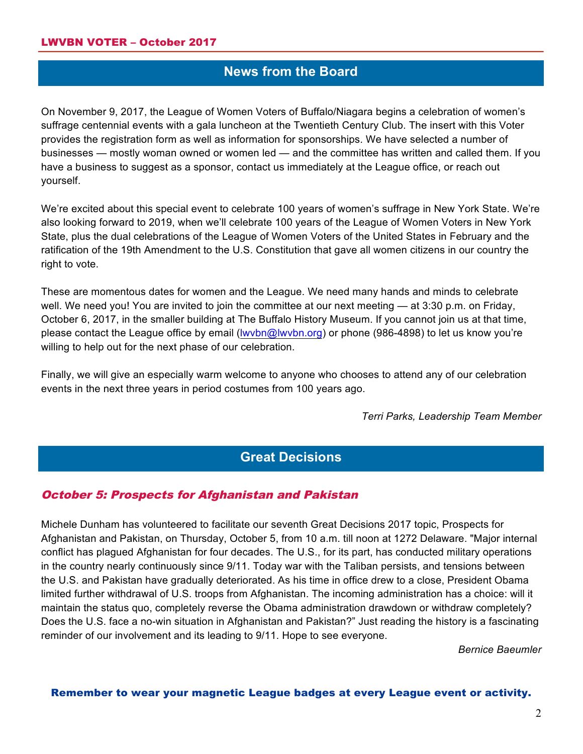# **News from the Board**

On November 9, 2017, the League of Women Voters of Buffalo/Niagara begins a celebration of women's suffrage centennial events with a gala luncheon at the Twentieth Century Club. The insert with this Voter provides the registration form as well as information for sponsorships. We have selected a number of businesses — mostly woman owned or women led — and the committee has written and called them. If you have a business to suggest as a sponsor, contact us immediately at the League office, or reach out yourself.

We're excited about this special event to celebrate 100 years of women's suffrage in New York State. We're also looking forward to 2019, when we'll celebrate 100 years of the League of Women Voters in New York State, plus the dual celebrations of the League of Women Voters of the United States in February and the ratification of the 19th Amendment to the U.S. Constitution that gave all women citizens in our country the right to vote.

These are momentous dates for women and the League. We need many hands and minds to celebrate well. We need you! You are invited to join the committee at our next meeting — at 3:30 p.m. on Friday, October 6, 2017, in the smaller building at The Buffalo History Museum. If you cannot join us at that time, please contact the League office by email (lwvbn@lwvbn.org) or phone (986-4898) to let us know you're willing to help out for the next phase of our celebration.

Finally, we will give an especially warm welcome to anyone who chooses to attend any of our celebration events in the next three years in period costumes from 100 years ago.

*Terri Parks, Leadership Team Member*

# **Great Decisions**

#### October 5: Prospects for Afghanistan and Pakistan

Michele Dunham has volunteered to facilitate our seventh Great Decisions 2017 topic, Prospects for Afghanistan and Pakistan, on Thursday, October 5, from 10 a.m. till noon at 1272 Delaware. "Major internal conflict has plagued Afghanistan for four decades. The U.S., for its part, has conducted military operations in the country nearly continuously since 9/11. Today war with the Taliban persists, and tensions between the U.S. and Pakistan have gradually deteriorated. As his time in office drew to a close, President Obama limited further withdrawal of U.S. troops from Afghanistan. The incoming administration has a choice: will it maintain the status quo, completely reverse the Obama administration drawdown or withdraw completely? Does the U.S. face a no-win situation in Afghanistan and Pakistan?" Just reading the history is a fascinating reminder of our involvement and its leading to 9/11. Hope to see everyone.

*Bernice Baeumler*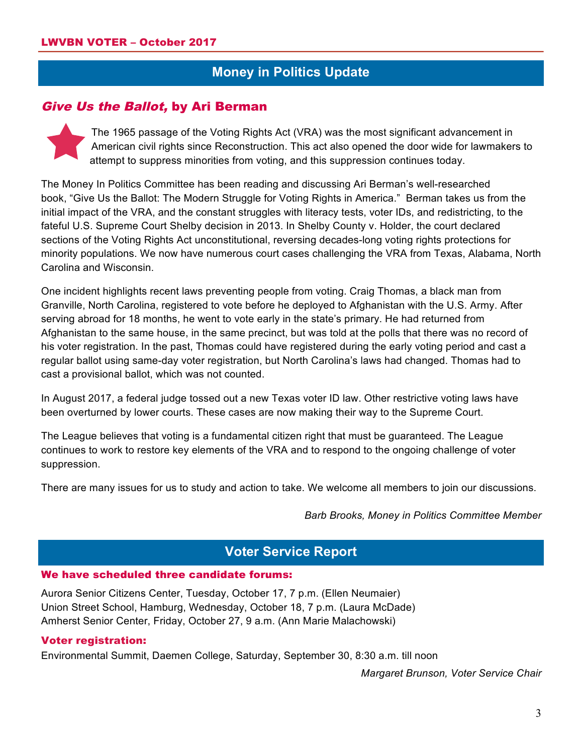# **Money in Politics Update**

### Give Us the Ballot, by Ari Berman



The 1965 passage of the Voting Rights Act (VRA) was the most significant advancement in American civil rights since Reconstruction. This act also opened the door wide for lawmakers to attempt to suppress minorities from voting, and this suppression continues today.

The Money In Politics Committee has been reading and discussing Ari Berman's well-researched book, "Give Us the Ballot: The Modern Struggle for Voting Rights in America." Berman takes us from the initial impact of the VRA, and the constant struggles with literacy tests, voter IDs, and redistricting, to the fateful U.S. Supreme Court Shelby decision in 2013. In Shelby County v. Holder, the court declared sections of the Voting Rights Act unconstitutional, reversing decades-long voting rights protections for minority populations. We now have numerous court cases challenging the VRA from Texas, Alabama, North Carolina and Wisconsin.

One incident highlights recent laws preventing people from voting. Craig Thomas, a black man from Granville, North Carolina, registered to vote before he deployed to Afghanistan with the U.S. Army. After serving abroad for 18 months, he went to vote early in the state's primary. He had returned from Afghanistan to the same house, in the same precinct, but was told at the polls that there was no record of his voter registration. In the past, Thomas could have registered during the early voting period and cast a regular ballot using same-day voter registration, but North Carolina's laws had changed. Thomas had to cast a provisional ballot, which was not counted.

In August 2017, a federal judge tossed out a new Texas voter ID law. Other restrictive voting laws have been overturned by lower courts. These cases are now making their way to the Supreme Court.

The League believes that voting is a fundamental citizen right that must be guaranteed. The League continues to work to restore key elements of the VRA and to respond to the ongoing challenge of voter suppression.

There are many issues for us to study and action to take. We welcome all members to join our discussions.

*Barb Brooks, Money in Politics Committee Member*

# **Voter Service Report**

#### We have scheduled three candidate forums:

Aurora Senior Citizens Center, Tuesday, October 17, 7 p.m. (Ellen Neumaier) Union Street School, Hamburg, Wednesday, October 18, 7 p.m. (Laura McDade) Amherst Senior Center, Friday, October 27, 9 a.m. (Ann Marie Malachowski)

#### Voter registration:

Environmental Summit, Daemen College, Saturday, September 30, 8:30 a.m. till noon

*Margaret Brunson, Voter Service Chair*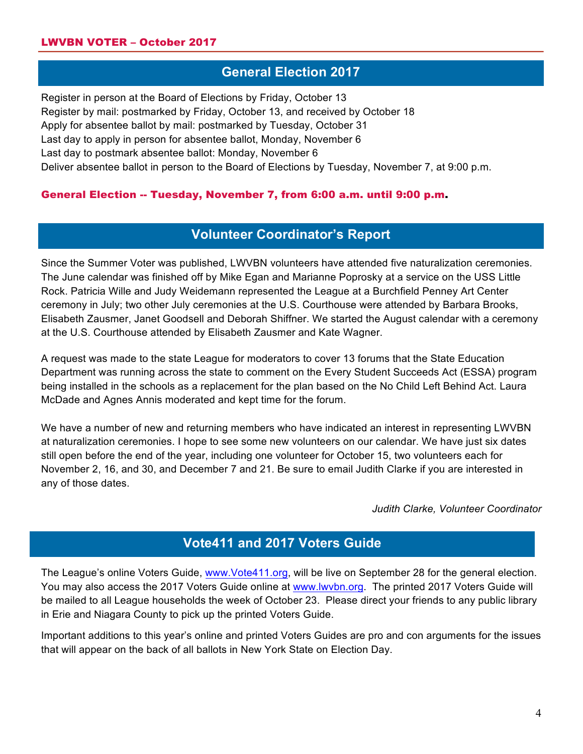# **General Election 2017**

Register in person at the Board of Elections by Friday, October 13 Register by mail: postmarked by Friday, October 13, and received by October 18 Apply for absentee ballot by mail: postmarked by Tuesday, October 31 Last day to apply in person for absentee ballot, Monday, November 6 Last day to postmark absentee ballot: Monday, November 6 Deliver absentee ballot in person to the Board of Elections by Tuesday, November 7, at 9:00 p.m.

#### General Election -- Tuesday, November 7, from 6:00 a.m. until 9:00 p.m.

# **Volunteer Coordinator's Report**

Since the Summer Voter was published, LWVBN volunteers have attended five naturalization ceremonies. The June calendar was finished off by Mike Egan and Marianne Poprosky at a service on the USS Little Rock. Patricia Wille and Judy Weidemann represented the League at a Burchfield Penney Art Center ceremony in July; two other July ceremonies at the U.S. Courthouse were attended by Barbara Brooks, Elisabeth Zausmer, Janet Goodsell and Deborah Shiffner. We started the August calendar with a ceremony at the U.S. Courthouse attended by Elisabeth Zausmer and Kate Wagner.

A request was made to the state League for moderators to cover 13 forums that the State Education Department was running across the state to comment on the Every Student Succeeds Act (ESSA) program being installed in the schools as a replacement for the plan based on the No Child Left Behind Act. Laura McDade and Agnes Annis moderated and kept time for the forum.

We have a number of new and returning members who have indicated an interest in representing LWVBN at naturalization ceremonies. I hope to see some new volunteers on our calendar. We have just six dates still open before the end of the year, including one volunteer for October 15, two volunteers each for November 2, 16, and 30, and December 7 and 21. Be sure to email Judith Clarke if you are interested in any of those dates.

*Judith Clarke, Volunteer Coordinator*

# **Vote411 and 2017 Voters Guide**

The League's online Voters Guide, www.Vote411.org, will be live on September 28 for the general election. You may also access the 2017 Voters Guide online at www.lwvbn.org. The printed 2017 Voters Guide will be mailed to all League households the week of October 23. Please direct your friends to any public library in Erie and Niagara County to pick up the printed Voters Guide.

Important additions to this year's online and printed Voters Guides are pro and con arguments for the issues that will appear on the back of all ballots in New York State on Election Day.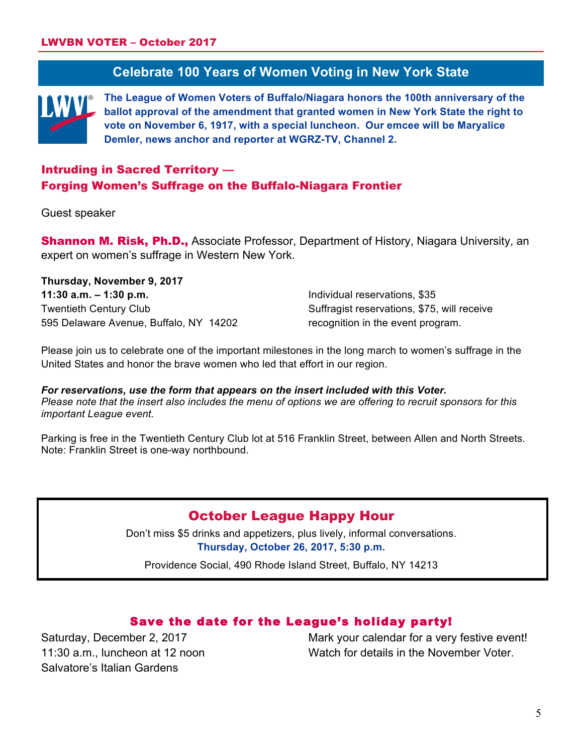# **Celebrate 100 Years of Women Voting in New York State**

**The League of Women Voters of Buffalo/Niagara honors the 100th anniversary of the ballot approval of the amendment that granted women in New York State the right to vote on November 6, 1917, with a special luncheon. Our emcee will be Maryalice Demler, news anchor and reporter at WGRZ-TV, Channel 2.**

### Intruding in Sacred Territory — Forging Women's Suffrage on the Buffalo-Niagara Frontier

#### Guest speaker

**Shannon M. Risk, Ph.D., Associate Professor, Department of History, Niagara University, an** expert on women's suffrage in Western New York.

**Thursday, November 9, 2017 11:30 a.m. – 1:30 p.m.** Twentieth Century Club 595 Delaware Avenue, Buffalo, NY 14202

Individual reservations, \$35 Suffragist reservations, \$75, will receive recognition in the event program.

Please join us to celebrate one of the important milestones in the long march to women's suffrage in the United States and honor the brave women who led that effort in our region.

*For reservations, use the form that appears on the insert included with this Voter. Please note that the insert also includes the menu of options we are offering to recruit sponsors for this important League event.* 

Parking is free in the Twentieth Century Club lot at 516 Franklin Street, between Allen and North Streets. Note: Franklin Street is one-way northbound.

### October League Happy Hour

Don't miss \$5 drinks and appetizers, plus lively, informal conversations. **Thursday, October 26, 2017, 5:30 p.m.**

Providence Social, 490 Rhode Island Street, Buffalo, NY 14213

#### Save the date for the League's holiday party!

Saturday, December 2, 2017 11:30 a.m., luncheon at 12 noon Salvatore's Italian Gardens

Mark your calendar for a very festive event! Watch for details in the November Voter.